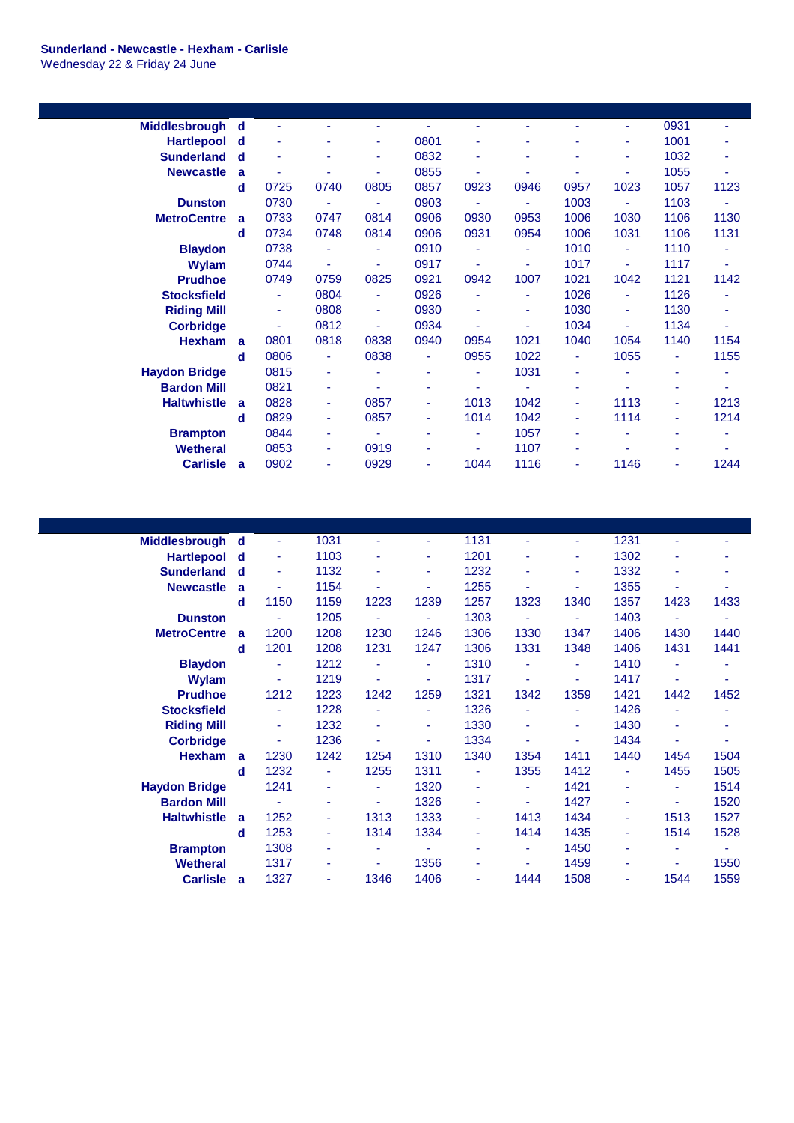## **Sunderland - Newcastle - Hexham - Carlisle** Wednesday 22 & Friday 24 June

| Middlesbrough        | d            |      |      |        |      |                |                          |      | ٠    | 0931 |      |
|----------------------|--------------|------|------|--------|------|----------------|--------------------------|------|------|------|------|
| <b>Hartlepool</b>    | d            |      |      | ٠      | 0801 |                |                          |      | ٠    | 1001 |      |
| <b>Sunderland</b>    | d            |      |      | ۰      | 0832 |                |                          | ۰    | ٠    | 1032 | ٠    |
| <b>Newcastle</b>     | a            |      |      | ٠      | 0855 | ٠              | ٠                        | ٠    | ÷    | 1055 | ä,   |
|                      | d            | 0725 | 0740 | 0805   | 0857 | 0923           | 0946                     | 0957 | 1023 | 1057 | 1123 |
| <b>Dunston</b>       |              | 0730 |      | ÷.     | 0903 |                | ä,                       | 1003 | ä,   | 1103 | ä,   |
| <b>MetroCentre</b>   | a            | 0733 | 0747 | 0814   | 0906 | 0930           | 0953                     | 1006 | 1030 | 1106 | 1130 |
|                      | d            | 0734 | 0748 | 0814   | 0906 | 0931           | 0954                     | 1006 | 1031 | 1106 | 1131 |
| <b>Blaydon</b>       |              | 0738 |      | ٠      | 0910 |                | ÷                        | 1010 | ٠    | 1110 | ٠    |
| Wylam                |              | 0744 | ٠    | ٠      | 0917 | ä,             | ٠                        | 1017 | ٠    | 1117 | ٠    |
| <b>Prudhoe</b>       |              | 0749 | 0759 | 0825   | 0921 | 0942           | 1007                     | 1021 | 1042 | 1121 | 1142 |
| <b>Stocksfield</b>   |              | ٠    | 0804 | ٠      | 0926 | ٠              | ٠                        | 1026 | ٠    | 1126 | ۰    |
| <b>Riding Mill</b>   |              | ٠    | 0808 | $\sim$ | 0930 | $\blacksquare$ | ÷                        | 1030 | ٠    | 1130 | ٠    |
| <b>Corbridge</b>     |              | ٠    | 0812 | ٠      | 0934 | ä,             | $\overline{\phantom{a}}$ | 1034 | ÷    | 1134 | ä,   |
| <b>Hexham</b>        | $\mathbf{a}$ | 0801 | 0818 | 0838   | 0940 | 0954           | 1021                     | 1040 | 1054 | 1140 | 1154 |
|                      | d            | 0806 | ٠    | 0838   | ٠    | 0955           | 1022                     | ٠    | 1055 | ٠    | 1155 |
| <b>Haydon Bridge</b> |              | 0815 | ٠    |        | ٠    | ٠              | 1031                     | ۰    | ٠    | ٠    | ۰    |
| <b>Bardon Mill</b>   |              | 0821 | ٠    |        |      |                |                          | ٠    |      | ٠    |      |
| <b>Haltwhistle</b>   | a            | 0828 | ٠    | 0857   | ٠    | 1013           | 1042                     | ٠    | 1113 | ٠    | 1213 |
|                      | d            | 0829 | ٠    | 0857   | ٠    | 1014           | 1042                     | ٠    | 1114 | ٠    | 1214 |
| <b>Brampton</b>      |              | 0844 | ٠    | ٠      | ٠    | $\blacksquare$ | 1057                     | ۰    | ٠    | ٠    | ä,   |
| <b>Wetheral</b>      |              | 0853 | ٠    | 0919   |      | ٠              | 1107                     | ٠    | ٠    | ۰    |      |
| <b>Carlisle</b>      | a            | 0902 | ۰    | 0929   |      | 1044           | 1116                     | ۰    | 1146 | ۰    | 1244 |
|                      |              |      |      |        |      |                |                          |      |      |      |      |

| <b>Middlesbrough</b> | d | ٠    | 1031 |      | ٠    | 1131 |      | ٠    | 1231 | ä,   | ٠    |
|----------------------|---|------|------|------|------|------|------|------|------|------|------|
| <b>Hartlepool</b>    | d | ٠    | 1103 | ٠    | ٠    | 1201 | ٠    | ٠    | 1302 | ۰    | ۰    |
| <b>Sunderland</b>    | d | ۰    | 1132 | ٠    | ۰    | 1232 | ٠    | ۰    | 1332 | ۰    | ۰    |
| <b>Newcastle</b>     | a |      | 1154 |      |      | 1255 |      |      | 1355 |      |      |
|                      | d | 1150 | 1159 | 1223 | 1239 | 1257 | 1323 | 1340 | 1357 | 1423 | 1433 |
| <b>Dunston</b>       |   | ٠    | 1205 | ٠    | ٠    | 1303 | ٠    | ۰    | 1403 | ٠    | ۰    |
| <b>MetroCentre</b>   | a | 1200 | 1208 | 1230 | 1246 | 1306 | 1330 | 1347 | 1406 | 1430 | 1440 |
|                      | d | 1201 | 1208 | 1231 | 1247 | 1306 | 1331 | 1348 | 1406 | 1431 | 1441 |
| <b>Blaydon</b>       |   | ٠    | 1212 | ٠    | ٠    | 1310 | ٠    | ٠    | 1410 | ä    |      |
| <b>Wylam</b>         |   | ٠    | 1219 | ۳    | ٠    | 1317 | ۳    | ٠    | 1417 | ٠    |      |
| <b>Prudhoe</b>       |   | 1212 | 1223 | 1242 | 1259 | 1321 | 1342 | 1359 | 1421 | 1442 | 1452 |
| <b>Stocksfield</b>   |   |      | 1228 | ٠    | ٠    | 1326 | ٠    | ۰    | 1426 | ٠    | ۰    |
| <b>Riding Mill</b>   |   | ۰    | 1232 | ٠    | ۰    | 1330 |      | ۰    | 1430 |      |      |
| <b>Corbridge</b>     |   |      | 1236 |      | ٠    | 1334 |      | ٠    | 1434 | ۰    |      |
| <b>Hexham</b>        | a | 1230 | 1242 | 1254 | 1310 | 1340 | 1354 | 1411 | 1440 | 1454 | 1504 |
|                      | d | 1232 | ٠    | 1255 | 1311 | ٠    | 1355 | 1412 | ٠    | 1455 | 1505 |
| <b>Haydon Bridge</b> |   | 1241 | ٠    | ٠    | 1320 | ٠    | ٠    | 1421 | ٠    | ٠    | 1514 |
| <b>Bardon Mill</b>   |   | ٠    | ۰    | ٠    | 1326 | ٠    | ٠    | 1427 | ٠    | ٠    | 1520 |
| <b>Haltwhistle</b>   | a | 1252 | ٠    | 1313 | 1333 | ٠    | 1413 | 1434 | ٠    | 1513 | 1527 |
|                      | d | 1253 | ٠    | 1314 | 1334 | ٠    | 1414 | 1435 | ٠    | 1514 | 1528 |
| <b>Brampton</b>      |   | 1308 | ۰    | ۰    | ٠    | ۰    | ٠    | 1450 | ٠    | ۰    | ٠    |
| <b>Wetheral</b>      |   | 1317 |      |      | 1356 | ۰    | ٠    | 1459 | ٠    |      | 1550 |
| <b>Carlisle</b>      | a | 1327 |      | 1346 | 1406 |      | 1444 | 1508 |      | 1544 | 1559 |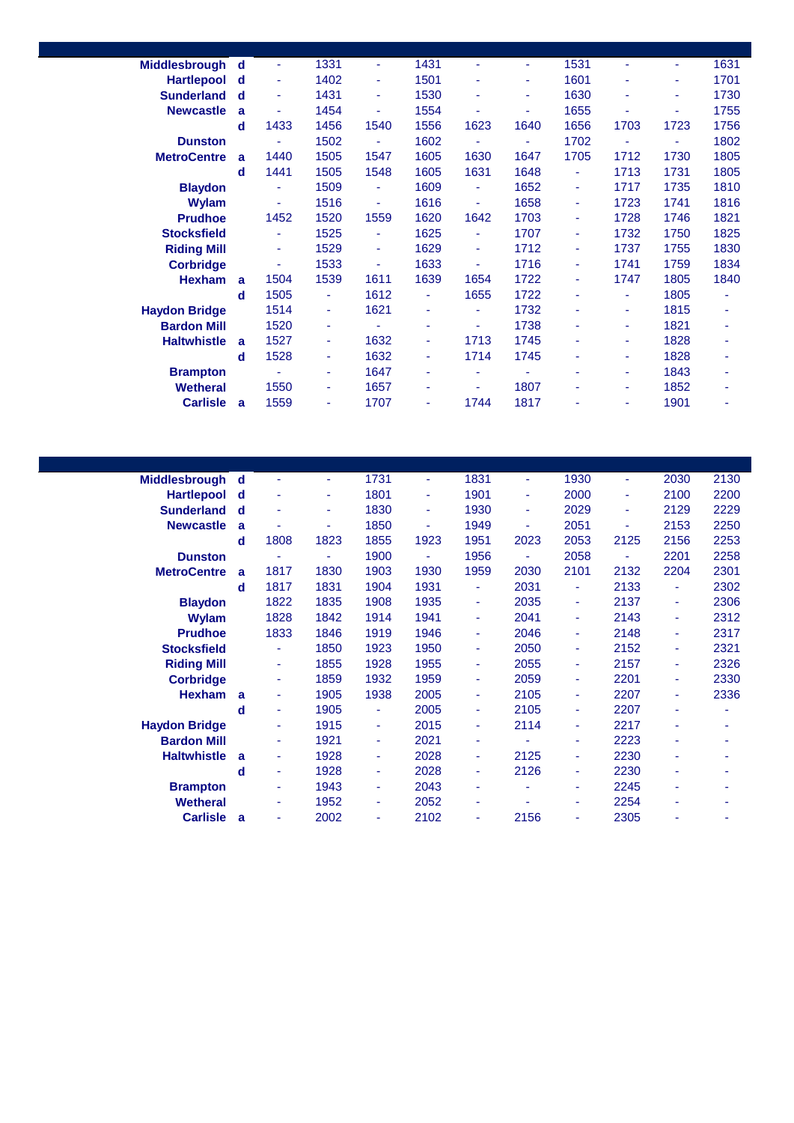| Middlesbrough        | d | ٠              | 1331 | ۰    | 1431 | ٠      | ٠    | 1531 | ٠    | ٠    | 1631 |
|----------------------|---|----------------|------|------|------|--------|------|------|------|------|------|
| <b>Hartlepool</b>    | d |                | 1402 | ٠    | 1501 |        | ٠    | 1601 | ٠    | ٠    | 1701 |
| <b>Sunderland</b>    | d | ٠              | 1431 | ٠    | 1530 | ٠      | ٠    | 1630 | ٠    | ٠    | 1730 |
| <b>Newcastle</b>     | a |                | 1454 |      | 1554 | ٠      |      | 1655 | ٠    |      | 1755 |
|                      | d | 1433           | 1456 | 1540 | 1556 | 1623   | 1640 | 1656 | 1703 | 1723 | 1756 |
| <b>Dunston</b>       |   | ٠              | 1502 | ÷    | 1602 | $\sim$ | ٠    | 1702 | ٠    | ÷    | 1802 |
| <b>MetroCentre</b>   | a | 1440           | 1505 | 1547 | 1605 | 1630   | 1647 | 1705 | 1712 | 1730 | 1805 |
|                      | d | 1441           | 1505 | 1548 | 1605 | 1631   | 1648 | ٠    | 1713 | 1731 | 1805 |
| <b>Blaydon</b>       |   | ٠              | 1509 | ٠    | 1609 | ٠      | 1652 | ٠    | 1717 | 1735 | 1810 |
| <b>Wylam</b>         |   | ٠              | 1516 | ÷    | 1616 | ٠      | 1658 | ٠    | 1723 | 1741 | 1816 |
| <b>Prudhoe</b>       |   | 1452           | 1520 | 1559 | 1620 | 1642   | 1703 | ٠    | 1728 | 1746 | 1821 |
| <b>Stocksfield</b>   |   |                | 1525 | ÷    | 1625 | ٠      | 1707 | ٠    | 1732 | 1750 | 1825 |
| <b>Riding Mill</b>   |   |                | 1529 | ٠    | 1629 | ٠      | 1712 | ٠    | 1737 | 1755 | 1830 |
| <b>Corbridge</b>     |   |                | 1533 | ٠    | 1633 | ٠      | 1716 | ٠    | 1741 | 1759 | 1834 |
| <b>Hexham</b>        | a | 1504           | 1539 | 1611 | 1639 | 1654   | 1722 | ٠    | 1747 | 1805 | 1840 |
|                      | d | 1505           | ٠    | 1612 | ÷    | 1655   | 1722 | ۰    | ٠    | 1805 | ٠    |
| <b>Haydon Bridge</b> |   | 1514           | ٠    | 1621 | ٠    | ٠      | 1732 | ٠    | ÷    | 1815 |      |
| <b>Bardon Mill</b>   |   | 1520           | ٠    | ٠    | ٠    | ٠      | 1738 | ٠    | ٠    | 1821 |      |
| <b>Haltwhistle</b>   | a | 1527           |      | 1632 |      | 1713   | 1745 | ٠    | ۰    | 1828 |      |
|                      | d | 1528           | ٠    | 1632 | ٠    | 1714   | 1745 | ٠    | ٠    | 1828 |      |
| <b>Brampton</b>      |   | $\blacksquare$ | ٠    | 1647 | ٠    | ٠      | ٠    | ۰    | ٠    | 1843 |      |
| <b>Wetheral</b>      |   | 1550           | ٠    | 1657 | ٠    | ٠      | 1807 | ٠    | ٠    | 1852 |      |
| <b>Carlisle</b>      | a | 1559           |      | 1707 | ٠    | 1744   | 1817 |      | ٠    | 1901 |      |

| <b>Middlesbrough</b> | d | ٠              | ٠    | 1731 | ٠    | 1831 | ٠    | 1930                     | ٠    | 2030 | 2130 |
|----------------------|---|----------------|------|------|------|------|------|--------------------------|------|------|------|
| <b>Hartlepool</b>    | d | ٠              | ۰    | 1801 | ٠    | 1901 | ٠    | 2000                     | ٠    | 2100 | 2200 |
| <b>Sunderland</b>    | d | ٠              | ٠    | 1830 | ٠    | 1930 | ٠    | 2029                     | ٠    | 2129 | 2229 |
| <b>Newcastle</b>     | a |                | ۰    | 1850 | ۰    | 1949 | ٠    | 2051                     |      | 2153 | 2250 |
|                      | d | 1808           | 1823 | 1855 | 1923 | 1951 | 2023 | 2053                     | 2125 | 2156 | 2253 |
| <b>Dunston</b>       |   | $\blacksquare$ | ۰    | 1900 | ٠    | 1956 |      | 2058                     |      | 2201 | 2258 |
| <b>MetroCentre</b>   | a | 1817           | 1830 | 1903 | 1930 | 1959 | 2030 | 2101                     | 2132 | 2204 | 2301 |
|                      | d | 1817           | 1831 | 1904 | 1931 | ٠    | 2031 | $\overline{\phantom{a}}$ | 2133 | ٠    | 2302 |
| <b>Blaydon</b>       |   | 1822           | 1835 | 1908 | 1935 | ٠    | 2035 | ۰                        | 2137 | ٠    | 2306 |
| <b>Wylam</b>         |   | 1828           | 1842 | 1914 | 1941 | ٠    | 2041 | ٠                        | 2143 | ٠    | 2312 |
| <b>Prudhoe</b>       |   | 1833           | 1846 | 1919 | 1946 | ٠    | 2046 | ٠                        | 2148 | ٠    | 2317 |
| <b>Stocksfield</b>   |   | ۰              | 1850 | 1923 | 1950 | ۰    | 2050 | ۰                        | 2152 | ۰    | 2321 |
| <b>Riding Mill</b>   |   | ٠              | 1855 | 1928 | 1955 | ٠    | 2055 | ٠                        | 2157 | ٠    | 2326 |
| <b>Corbridge</b>     |   | ٠              | 1859 | 1932 | 1959 | ٠    | 2059 | ۰                        | 2201 | ٠    | 2330 |
| <b>Hexham</b>        | a | ٠              | 1905 | 1938 | 2005 | ٠    | 2105 | ۰                        | 2207 | ٠    | 2336 |
|                      | d | ٠              | 1905 | ÷    | 2005 | ٠    | 2105 | ۰                        | 2207 | ٠    | ٠    |
| <b>Haydon Bridge</b> |   | ٠              | 1915 | ٠    | 2015 | ٠    | 2114 | ٠                        | 2217 | ٠    | ٠    |
| <b>Bardon Mill</b>   |   |                | 1921 | ٠    | 2021 | ٠    |      | ۰                        | 2223 |      |      |
| <b>Haltwhistle</b>   | a | ٠              | 1928 | ٠    | 2028 | ٠    | 2125 | ٠                        | 2230 | ۰    | ۰    |
|                      | d | ٠              | 1928 | ٠    | 2028 | ٠    | 2126 | ٠                        | 2230 | ٠    |      |
| <b>Brampton</b>      |   | ٠              | 1943 | ٠    | 2043 | ٠    | ٠    | ٠                        | 2245 | ٠    | ۰    |
| <b>Wetheral</b>      |   | ۰              | 1952 | ٠    | 2052 | ٠    |      | ٠                        | 2254 | ۰    |      |
| <b>Carlisle</b>      | a | ۰              | 2002 | ٠    | 2102 | ۰    | 2156 | ٠                        | 2305 |      |      |
|                      |   |                |      |      |      |      |      |                          |      |      |      |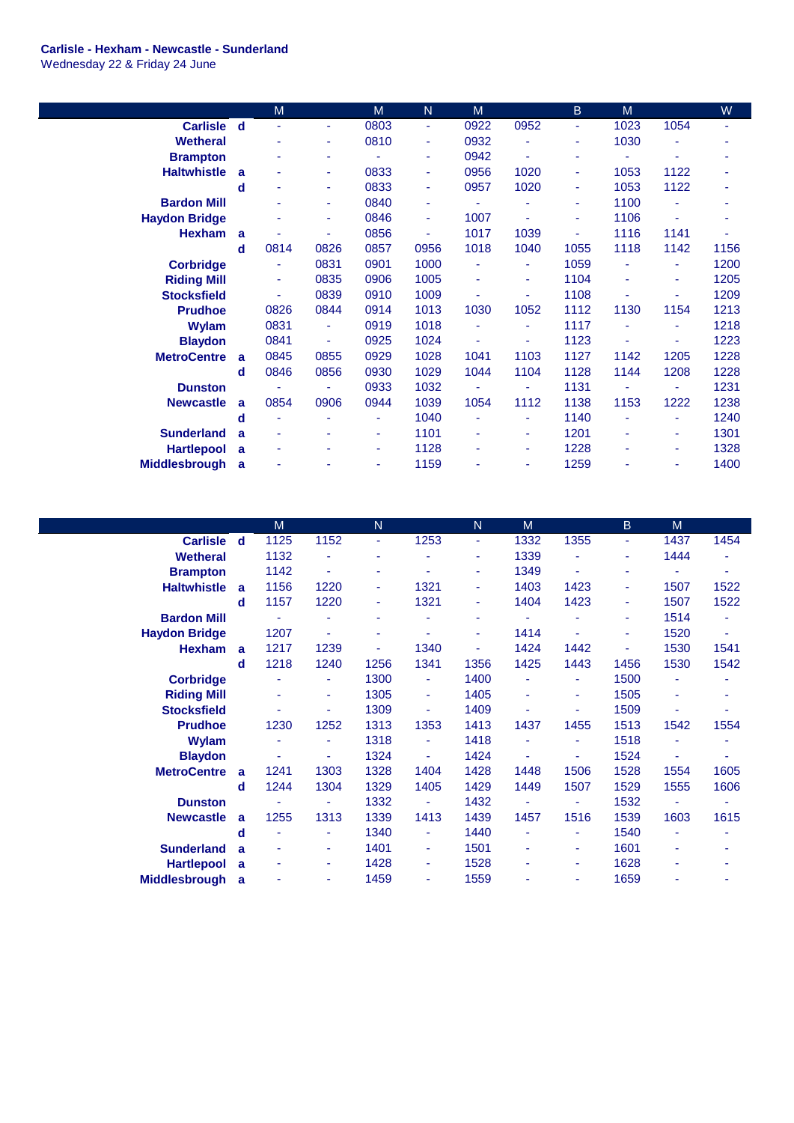## **Carlisle - Hexham - Newcastle - Sunderland**

Wednesday 22 & Friday 24 June

|                      |             | M    |      | M    | N    | M    |      | B    | M    |      | W    |
|----------------------|-------------|------|------|------|------|------|------|------|------|------|------|
| <b>Carlisle</b>      | $\mathbf d$ | ٠    | ٠    | 0803 | ٠    | 0922 | 0952 | ٠    | 1023 | 1054 | ٠    |
| <b>Wetheral</b>      |             | ٠    | ٠    | 0810 | ٠    | 0932 |      | ٠    | 1030 | ÷    | ۰    |
| <b>Brampton</b>      |             | ٠    | ۰    | ٠    | ٠    | 0942 | ٠    | ۰    | ٠    | ۰    | ۰    |
| <b>Haltwhistle</b>   | a           | ٠    | ٠    | 0833 | ٠    | 0956 | 1020 | ٠    | 1053 | 1122 | ٠    |
|                      | d           | ٠    | ٠    | 0833 | ÷    | 0957 | 1020 | ٠    | 1053 | 1122 |      |
| <b>Bardon Mill</b>   |             | ٠    | ٠    | 0840 | ۰    | ÷    |      | ۰    | 1100 | ä    | ٠    |
| <b>Haydon Bridge</b> |             |      | ٠    | 0846 | ٠    | 1007 |      | ۰    | 1106 | ÷    |      |
| <b>Hexham</b>        | a           | ٠    | ٠    | 0856 | ٠    | 1017 | 1039 | ۰    | 1116 | 1141 |      |
|                      | d           | 0814 | 0826 | 0857 | 0956 | 1018 | 1040 | 1055 | 1118 | 1142 | 1156 |
| <b>Corbridge</b>     |             | ٠    | 0831 | 0901 | 1000 | ۰    |      | 1059 |      | ۰    | 1200 |
| <b>Riding Mill</b>   |             | ۰    | 0835 | 0906 | 1005 | ۰    |      | 1104 |      | ۰    | 1205 |
| <b>Stocksfield</b>   |             | ٠    | 0839 | 0910 | 1009 |      |      | 1108 |      | ÷    | 1209 |
| <b>Prudhoe</b>       |             | 0826 | 0844 | 0914 | 1013 | 1030 | 1052 | 1112 | 1130 | 1154 | 1213 |
| Wylam                |             | 0831 | ٠    | 0919 | 1018 | ٠    | ٠    | 1117 | ٠    | ۰    | 1218 |
| <b>Blaydon</b>       |             | 0841 | ÷    | 0925 | 1024 | ٠    | ٠    | 1123 | ٠    | ٠    | 1223 |
| <b>MetroCentre</b>   | a           | 0845 | 0855 | 0929 | 1028 | 1041 | 1103 | 1127 | 1142 | 1205 | 1228 |
|                      | d           | 0846 | 0856 | 0930 | 1029 | 1044 | 1104 | 1128 | 1144 | 1208 | 1228 |
| <b>Dunston</b>       |             |      | ٠    | 0933 | 1032 | ۰    |      | 1131 | ٠    | ÷    | 1231 |
| <b>Newcastle</b>     | a           | 0854 | 0906 | 0944 | 1039 | 1054 | 1112 | 1138 | 1153 | 1222 | 1238 |
|                      | d           | ٠    | ۰    | ÷    | 1040 | ۰    |      | 1140 |      | ÷    | 1240 |
| <b>Sunderland</b>    | a           | ٠    | ٠    | ٠    | 1101 | ٠    | ٠    | 1201 | ٠    | ٠    | 1301 |
| <b>Hartlepool</b>    | a           | ۰    |      | ٠    | 1128 | ۰    |      | 1228 |      | ÷    | 1328 |
| <b>Middlesbrough</b> | a           |      |      | ٠    | 1159 |      |      | 1259 |      | ۰    | 1400 |

|                      |   | M    |      | $\mathsf{N}$ |      | N.                       | M    |      | <sub>B</sub> | M              |                          |
|----------------------|---|------|------|--------------|------|--------------------------|------|------|--------------|----------------|--------------------------|
| <b>Carlisle</b>      | d | 1125 | 1152 | ٠            | 1253 | ٠                        | 1332 | 1355 | ÷            | 1437           | 1454                     |
| <b>Wetheral</b>      |   | 1132 | ٠    | ٠            |      | ۰                        | 1339 |      | ٠            | 1444           |                          |
| <b>Brampton</b>      |   | 1142 | ÷    | ٠            |      | ۰                        | 1349 |      | ٠            |                | ÷                        |
| <b>Haltwhistle</b>   | a | 1156 | 1220 | ٠            | 1321 | ٠                        | 1403 | 1423 | ٠            | 1507           | 1522                     |
|                      | d | 1157 | 1220 | ٠            | 1321 | ٠                        | 1404 | 1423 | ٠            | 1507           | 1522                     |
| <b>Bardon Mill</b>   |   |      | ä,   | ٠            |      | ٠                        | ٠    |      | ٠            | 1514           | ۰                        |
| <b>Haydon Bridge</b> |   | 1207 | ٠    | ٠            |      | ٠                        | 1414 |      | ٠            | 1520           | $\overline{\phantom{a}}$ |
| <b>Hexham</b>        | a | 1217 | 1239 | ٠            | 1340 | $\overline{\phantom{a}}$ | 1424 | 1442 | ٠            | 1530           | 1541                     |
|                      | d | 1218 | 1240 | 1256         | 1341 | 1356                     | 1425 | 1443 | 1456         | 1530           | 1542                     |
| <b>Corbridge</b>     |   |      | ٠    | 1300         | ٠    | 1400                     | ٠    | ٠    | 1500         | $\blacksquare$ |                          |
| <b>Riding Mill</b>   |   |      | ٠    | 1305         | ٠    | 1405                     | ٠    | ٠    | 1505         | ÷              |                          |
| <b>Stocksfield</b>   |   |      | ٠    | 1309         | ٠    | 1409                     | ٠    |      | 1509         | ٠              |                          |
| <b>Prudhoe</b>       |   | 1230 | 1252 | 1313         | 1353 | 1413                     | 1437 | 1455 | 1513         | 1542           | 1554                     |
| <b>Wylam</b>         |   |      | ٠    | 1318         | ٠    | 1418                     | ÷    |      | 1518         |                |                          |
| <b>Blaydon</b>       |   |      | ٠    | 1324         | ٠    | 1424                     | ٠    |      | 1524         | ٠              |                          |
| <b>MetroCentre</b>   | a | 1241 | 1303 | 1328         | 1404 | 1428                     | 1448 | 1506 | 1528         | 1554           | 1605                     |
|                      | d | 1244 | 1304 | 1329         | 1405 | 1429                     | 1449 | 1507 | 1529         | 1555           | 1606                     |
| <b>Dunston</b>       |   |      | ä,   | 1332         |      | 1432                     | ÷    |      | 1532         |                |                          |
| <b>Newcastle</b>     | a | 1255 | 1313 | 1339         | 1413 | 1439                     | 1457 | 1516 | 1539         | 1603           | 1615                     |
|                      | d |      | ٠    | 1340         | ٠    | 1440                     | Ξ    | ٠    | 1540         | ٠              |                          |
| <b>Sunderland</b>    | a | ٠    | ٠    | 1401         | ٠    | 1501                     | ٠    | ٠    | 1601         | ٠              | ۰                        |
| <b>Hartlepool</b>    | a | ٠    | ٠    | 1428         | ٠    | 1528                     | ٠    | ٠    | 1628         | ٠              |                          |
| <b>Middlesbrough</b> | a |      | ٠    | 1459         | ٠    | 1559                     | ٠    | ٠    | 1659         | ٠              |                          |